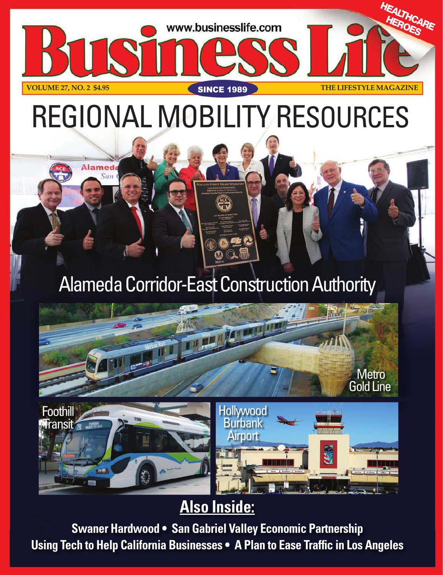

# REGIONAL MOBILITY RESOURCES

### Alameda Corridor-East Construction Authority



## **Also Inside:**

C

**Airport** 

**Swaner Hardwood • San Gabriel Valley Economic Partnership Using Tech to Help California Businesses • A Plan to Ease Traffic in Los Angeles**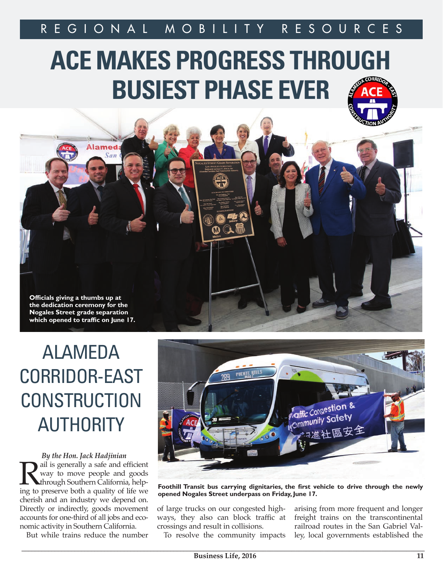## **ACE MAKES PROGRESS THROUGH BUSIEST PHASE EVER**



## ALAMEDA CORRIDOR-EAST **CONSTRUCTION** AUTHORITY

*By the Hon. Jack Hadjinian* **Rail is generally a safe and efficient**<br>way to move people and goods<br>through Southern California, help-<br>ing to preserve both a quality of life we way to move people and goods through Southern California, helping to preserve both a quality of life we cherish and an industry we depend on. Directly or indirectly, goods movement accounts for one-third of all jobs and economic activity in Southern California.

But while trains reduce the number



**Foothill Transit bus carrying dignitaries, the first vehicle to drive through the newly opened Nogales Street underpass on Friday, June 17.**

of large trucks on our congested highways, they also can block traffic at crossings and result in collisions.

To resolve the community impacts

arising from more frequent and longer freight trains on the transcontinental railroad routes in the San Gabriel Valley, local governments established the